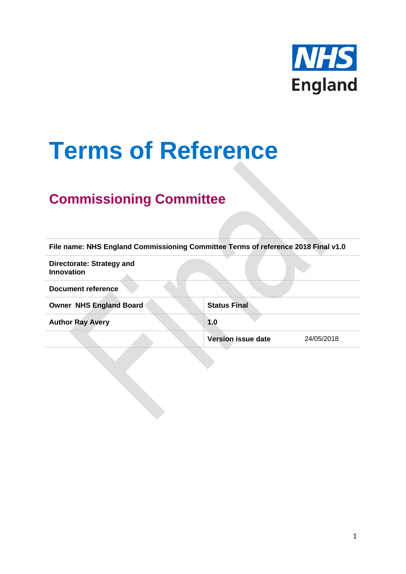

# **Terms of Reference**

## **Commissioning Committee**

| File name: NHS England Commissioning Committee Terms of reference 2018 Final v1.0 |                           |            |
|-----------------------------------------------------------------------------------|---------------------------|------------|
| Directorate: Strategy and<br>Innovation                                           |                           |            |
| <b>Document reference</b>                                                         |                           |            |
| Owner NHS England Board                                                           | <b>Status Final</b>       |            |
| <b>Author Ray Avery</b>                                                           | 1.0                       |            |
|                                                                                   | <b>Version issue date</b> | 24/05/2018 |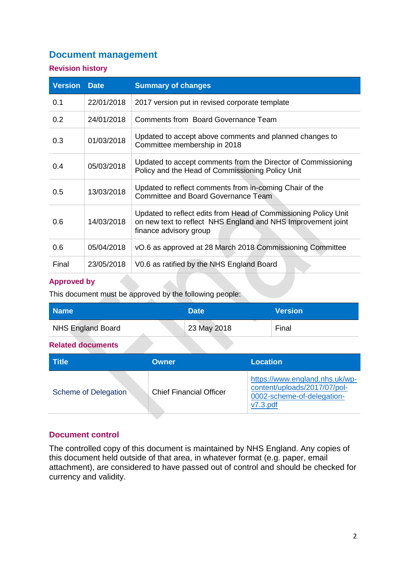#### **Document management**

#### **Revision history**

| <b>Version</b> | <b>Date</b> | <b>Summary of changes</b>                                                                                                                                 |
|----------------|-------------|-----------------------------------------------------------------------------------------------------------------------------------------------------------|
| 0.1            | 22/01/2018  | 2017 version put in revised corporate template                                                                                                            |
| 0.2            | 24/01/2018  | Comments from Board Governance Team                                                                                                                       |
| 0.3            | 01/03/2018  | Updated to accept above comments and planned changes to<br>Committee membership in 2018                                                                   |
| 0.4            | 05/03/2018  | Updated to accept comments from the Director of Commissioning<br>Policy and the Head of Commissioning Policy Unit                                         |
| 0.5            | 13/03/2018  | Updated to reflect comments from in-coming Chair of the<br><b>Committee and Board Governance Team</b>                                                     |
| 0.6            | 14/03/2018  | Updated to reflect edits from Head of Commissioning Policy Unit<br>on new text to reflect NHS England and NHS Improvement joint<br>finance advisory group |
| 0.6            | 05/04/2018  | vO.6 as approved at 28 March 2018 Commissioning Committee                                                                                                 |
| Final          | 23/05/2018  | V0.6 as ratified by the NHS England Board                                                                                                                 |

#### **Approved by**

This document must be approved by the following people:

| <b>Name</b>              | <b>Date</b> | <b>Version</b> |
|--------------------------|-------------|----------------|
| <b>NHS England Board</b> | 23 May 2018 | Final          |

#### **Related documents**

| <b>Title</b>                | Owner                          | <b>Location</b>                                                                                             |
|-----------------------------|--------------------------------|-------------------------------------------------------------------------------------------------------------|
| <b>Scheme of Delegation</b> | <b>Chief Financial Officer</b> | https://www.england.nhs.uk/wp-<br>content/uploads/2017/07/pol-<br>0002-scheme-of-delegation-<br>$V7.3$ .pdf |

#### **Document control**

The controlled copy of this document is maintained by NHS England. Any copies of this document held outside of that area, in whatever format (e.g. paper, email attachment), are considered to have passed out of control and should be checked for currency and validity.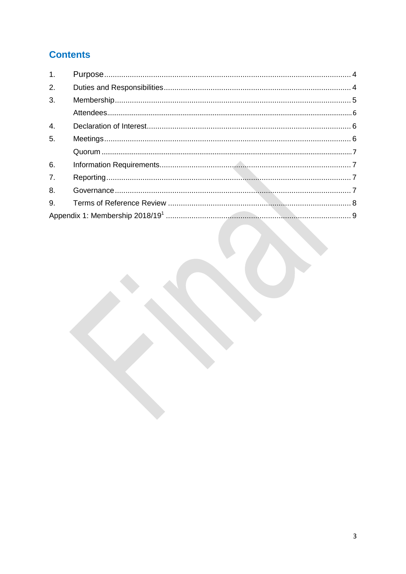## **Contents**

| $\mathbf{1}$ .   |  |
|------------------|--|
| 2.               |  |
| 3.               |  |
|                  |  |
| $\overline{4}$ . |  |
| 5.               |  |
|                  |  |
| 6.               |  |
| 7.               |  |
| 8.               |  |
| 9.               |  |
|                  |  |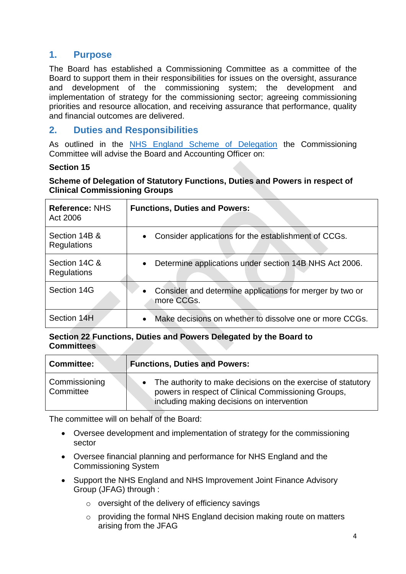#### <span id="page-3-0"></span>**1. Purpose**

The Board has established a Commissioning Committee as a committee of the Board to support them in their responsibilities for issues on the oversight, assurance and development of the commissioning system; the development and implementation of strategy for the commissioning sector; agreeing commissioning priorities and resource allocation, and receiving assurance that performance, quality and financial outcomes are delivered.

#### <span id="page-3-1"></span>**2. Duties and Responsibilities**

As outlined in the NHS England [Scheme of Delegation](https://www.england.nhs.uk/wp-content/uploads/2017/07/pol-0002-scheme-of-delegation-v7.3.pdf) the Commissioning Committee will advise the Board and Accounting Officer on:

#### **Section 15**

#### **Scheme of Delegation of Statutory Functions, Duties and Powers in respect of Clinical Commissioning Groups**

| Reference: NHS<br>Act 2006   | <b>Functions, Duties and Powers:</b>                                                |
|------------------------------|-------------------------------------------------------------------------------------|
| Section 14B &<br>Regulations | Consider applications for the establishment of CCGs.<br>$\bullet$                   |
| Section 14C &<br>Regulations | Determine applications under section 14B NHS Act 2006.<br>$\bullet$                 |
| Section 14G                  | Consider and determine applications for merger by two or<br>$\bullet$<br>more CCGs. |
| Section 14H                  | Make decisions on whether to dissolve one or more CCGs.<br>$\bullet$                |

#### **Section 22 Functions, Duties and Powers Delegated by the Board to Committees**

| <b>Committee:</b>          | <b>Functions, Duties and Powers:</b>                                                                                                                              |  |
|----------------------------|-------------------------------------------------------------------------------------------------------------------------------------------------------------------|--|
| Commissioning<br>Committee | The authority to make decisions on the exercise of statutory<br>powers in respect of Clinical Commissioning Groups,<br>including making decisions on intervention |  |

The committee will on behalf of the Board:

- Oversee development and implementation of strategy for the commissioning sector
- Oversee financial planning and performance for NHS England and the Commissioning System
- Support the NHS England and NHS Improvement Joint Finance Advisory Group (JFAG) through :
	- $\circ$  oversight of the delivery of efficiency savings
	- o providing the formal NHS England decision making route on matters arising from the JFAG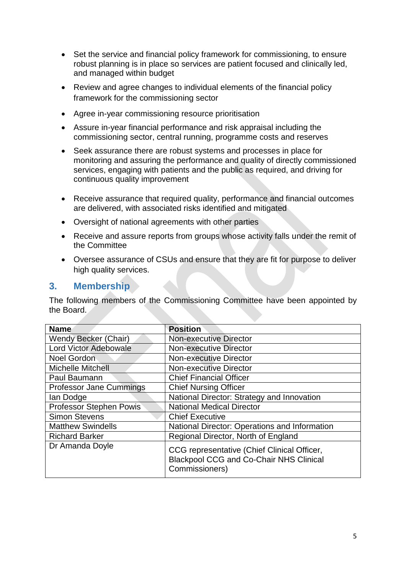- Set the service and financial policy framework for commissioning, to ensure robust planning is in place so services are patient focused and clinically led, and managed within budget
- Review and agree changes to individual elements of the financial policy framework for the commissioning sector
- Agree in-year commissioning resource prioritisation
- Assure in-year financial performance and risk appraisal including the commissioning sector, central running, programme costs and reserves
- Seek assurance there are robust systems and processes in place for monitoring and assuring the performance and quality of directly commissioned services, engaging with patients and the public as required, and driving for continuous quality improvement
- Receive assurance that required quality, performance and financial outcomes are delivered, with associated risks identified and mitigated
- Oversight of national agreements with other parties
- Receive and assure reports from groups whose activity falls under the remit of the Committee
- Oversee assurance of CSUs and ensure that they are fit for purpose to deliver high quality services.

#### <span id="page-4-0"></span>**3. Membership**

The following members of the Commissioning Committee have been appointed by the Board.

<span id="page-4-1"></span>

| <b>Name</b>                    | <b>Position</b>                                                                                                 |
|--------------------------------|-----------------------------------------------------------------------------------------------------------------|
| <b>Wendy Becker (Chair)</b>    | <b>Non-executive Director</b>                                                                                   |
| Lord Victor Adebowale          | <b>Non-executive Director</b>                                                                                   |
| <b>Noel Gordon</b>             | <b>Non-executive Director</b>                                                                                   |
| <b>Michelle Mitchell</b>       | <b>Non-executive Director</b>                                                                                   |
| Paul Baumann                   | <b>Chief Financial Officer</b>                                                                                  |
| <b>Professor Jane Cummings</b> | <b>Chief Nursing Officer</b>                                                                                    |
| lan Dodge                      | National Director: Strategy and Innovation                                                                      |
| <b>Professor Stephen Powis</b> | <b>National Medical Director</b>                                                                                |
| <b>Simon Stevens</b>           | <b>Chief Executive</b>                                                                                          |
| <b>Matthew Swindells</b>       | National Director: Operations and Information                                                                   |
| <b>Richard Barker</b>          | Regional Director, North of England                                                                             |
| Dr Amanda Doyle                | CCG representative (Chief Clinical Officer,<br><b>Blackpool CCG and Co-Chair NHS Clinical</b><br>Commissioners) |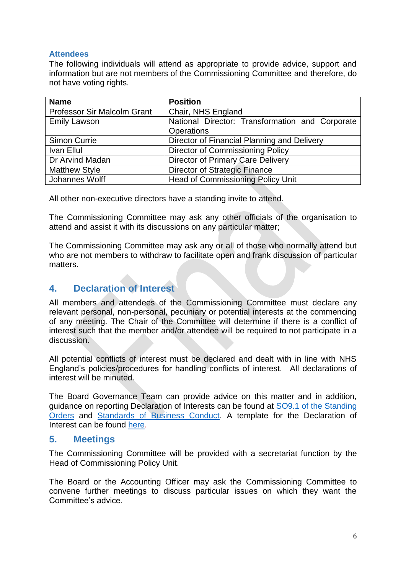#### **Attendees**

The following individuals will attend as appropriate to provide advice, support and information but are not members of the Commissioning Committee and therefore, do not have voting rights.

| <b>Name</b>                 | <b>Position</b>                                 |
|-----------------------------|-------------------------------------------------|
| Professor Sir Malcolm Grant | Chair, NHS England                              |
| <b>Emily Lawson</b>         | National Director: Transformation and Corporate |
|                             | <b>Operations</b>                               |
| <b>Simon Currie</b>         | Director of Financial Planning and Delivery     |
| Ivan Ellul                  | Director of Commissioning Policy                |
| Dr Arvind Madan             | <b>Director of Primary Care Delivery</b>        |
| <b>Matthew Style</b>        | <b>Director of Strategic Finance</b>            |
| Johannes Wolff              | <b>Head of Commissioning Policy Unit</b>        |

All other non-executive directors have a standing invite to attend.

The Commissioning Committee may ask any other officials of the organisation to attend and assist it with its discussions on any particular matter;

The Commissioning Committee may ask any or all of those who normally attend but who are not members to withdraw to facilitate open and frank discussion of particular matters.

#### <span id="page-5-0"></span>**4. Declaration of Interest**

All members and attendees of the Commissioning Committee must declare any relevant personal, non-personal, pecuniary or potential interests at the commencing of any meeting. The Chair of the Committee will determine if there is a conflict of interest such that the member and/or attendee will be required to not participate in a discussion.

All potential conflicts of interest must be declared and dealt with in line with NHS England's policies/procedures for handling conflicts of interest. All declarations of interest will be minuted.

The Board Governance Team can provide advice on this matter and in addition, guidance on reporting Declaration of Interests can be found at [SO9.1 of the Standing](https://www.england.nhs.uk/wp-content/uploads/2016/06/pol-0001-standing-orders-v6.pdf)  [Orders](https://www.england.nhs.uk/wp-content/uploads/2016/06/pol-0001-standing-orders-v6.pdf) and [Standards of Business Conduct.](https://www.england.nhs.uk/wp-content/uploads/2012/11/stand-bus-cond.pdf) A template for the Declaration of Interest can be found [here.](https://nhsengland.sharepoint.com/TeamCentre/TCO/board/_layouts/15/DocIdRedir.aspx?ID=K57F673QWXRZ-1392088303-11)

#### <span id="page-5-1"></span>**5. Meetings**

The Commissioning Committee will be provided with a secretariat function by the Head of Commissioning Policy Unit.

The Board or the Accounting Officer may ask the Commissioning Committee to convene further meetings to discuss particular issues on which they want the Committee's advice.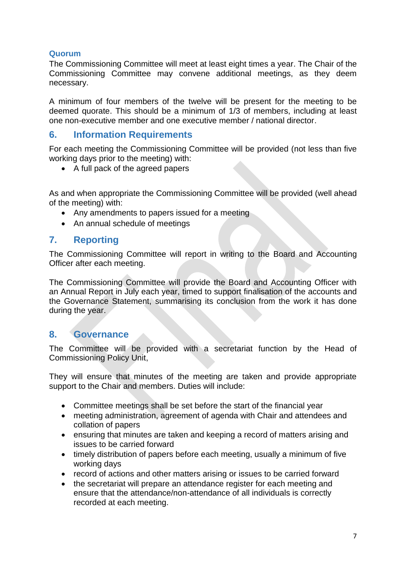#### <span id="page-6-0"></span>**Quorum**

The Commissioning Committee will meet at least eight times a year. The Chair of the Commissioning Committee may convene additional meetings, as they deem necessary.

A minimum of four members of the twelve will be present for the meeting to be deemed quorate. This should be a minimum of 1/3 of members, including at least one non-executive member and one executive member / national director.

#### <span id="page-6-1"></span>**6. Information Requirements**

For each meeting the Commissioning Committee will be provided (not less than five working days prior to the meeting) with:

• A full pack of the agreed papers

As and when appropriate the Commissioning Committee will be provided (well ahead of the meeting) with:

- Any amendments to papers issued for a meeting
- An annual schedule of meetings

#### <span id="page-6-2"></span>**7. Reporting**

The Commissioning Committee will report in writing to the Board and Accounting Officer after each meeting.

The Commissioning Committee will provide the Board and Accounting Officer with an Annual Report in July each year, timed to support finalisation of the accounts and the Governance Statement, summarising its conclusion from the work it has done during the year.

#### <span id="page-6-3"></span>**8. Governance**

The Committee will be provided with a secretariat function by the Head of Commissioning Policy Unit,

They will ensure that minutes of the meeting are taken and provide appropriate support to the Chair and members. Duties will include:

- Committee meetings shall be set before the start of the financial year
- meeting administration, agreement of agenda with Chair and attendees and collation of papers
- ensuring that minutes are taken and keeping a record of matters arising and issues to be carried forward
- timely distribution of papers before each meeting, usually a minimum of five working days
- record of actions and other matters arising or issues to be carried forward
- the secretariat will prepare an attendance register for each meeting and ensure that the attendance/non-attendance of all individuals is correctly recorded at each meeting.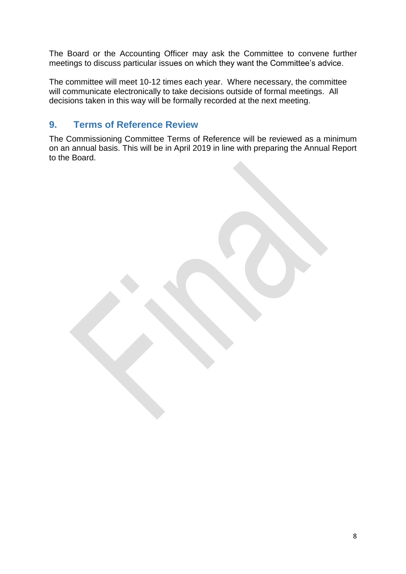The Board or the Accounting Officer may ask the Committee to convene further meetings to discuss particular issues on which they want the Committee's advice.

The committee will meet 10-12 times each year. Where necessary, the committee will communicate electronically to take decisions outside of formal meetings. All decisions taken in this way will be formally recorded at the next meeting.

#### <span id="page-7-0"></span>**9. Terms of Reference Review**

The Commissioning Committee Terms of Reference will be reviewed as a minimum on an annual basis. This will be in April 2019 in line with preparing the Annual Report to the Board.